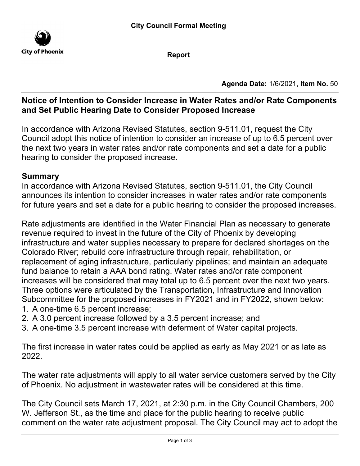

**Report**

**Agenda Date:** 1/6/2021, **Item No.** 50

### **Notice of Intention to Consider Increase in Water Rates and/or Rate Components and Set Public Hearing Date to Consider Proposed Increase**

In accordance with Arizona Revised Statutes, section 9-511.01, request the City Council adopt this notice of intention to consider an increase of up to 6.5 percent over the next two years in water rates and/or rate components and set a date for a public hearing to consider the proposed increase.

#### **Summary**

In accordance with Arizona Revised Statutes, section 9-511.01, the City Council announces its intention to consider increases in water rates and/or rate components for future years and set a date for a public hearing to consider the proposed increases.

Rate adjustments are identified in the Water Financial Plan as necessary to generate revenue required to invest in the future of the City of Phoenix by developing infrastructure and water supplies necessary to prepare for declared shortages on the Colorado River; rebuild core infrastructure through repair, rehabilitation, or replacement of aging infrastructure, particularly pipelines; and maintain an adequate fund balance to retain a AAA bond rating. Water rates and/or rate component increases will be considered that may total up to 6.5 percent over the next two years. Three options were articulated by the Transportation, Infrastructure and Innovation Subcommittee for the proposed increases in FY2021 and in FY2022, shown below:

- 1. A one-time 6.5 percent increase;
- 2. A 3.0 percent increase followed by a 3.5 percent increase; and
- 3. A one-time 3.5 percent increase with deferment of Water capital projects.

The first increase in water rates could be applied as early as May 2021 or as late as 2022.

The water rate adjustments will apply to all water service customers served by the City of Phoenix. No adjustment in wastewater rates will be considered at this time.

The City Council sets March 17, 2021, at 2:30 p.m. in the City Council Chambers, 200 W. Jefferson St., as the time and place for the public hearing to receive public comment on the water rate adjustment proposal. The City Council may act to adopt the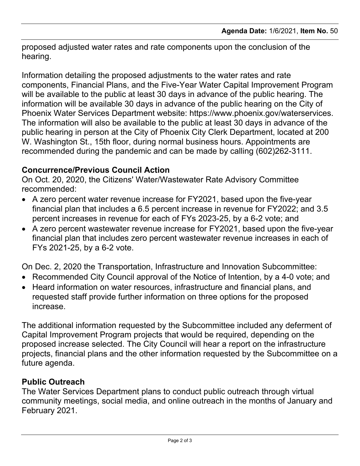proposed adjusted water rates and rate components upon the conclusion of the hearing.

Information detailing the proposed adjustments to the water rates and rate components, Financial Plans, and the Five-Year Water Capital Improvement Program will be available to the public at least 30 days in advance of the public hearing. The information will be available 30 days in advance of the public hearing on the City of Phoenix Water Services Department website: https://www.phoenix.gov/waterservices. The information will also be available to the public at least 30 days in advance of the public hearing in person at the City of Phoenix City Clerk Department, located at 200 W. Washington St., 15th floor, during normal business hours. Appointments are recommended during the pandemic and can be made by calling (602)262-3111.

#### **Concurrence/Previous Council Action**

On Oct. 20, 2020, the Citizens' Water/Wastewater Rate Advisory Committee recommended:

- · A zero percent water revenue increase for FY2021, based upon the five-year financial plan that includes a 6.5 percent increase in revenue for FY2022; and 3.5 percent increases in revenue for each of FYs 2023-25, by a 6-2 vote; and
- · A zero percent wastewater revenue increase for FY2021, based upon the five-year financial plan that includes zero percent wastewater revenue increases in each of FYs 2021-25, by a 6-2 vote.

On Dec. 2, 2020 the Transportation, Infrastructure and Innovation Subcommittee:

- · Recommended City Council approval of the Notice of Intention, by a 4-0 vote; and
- · Heard information on water resources, infrastructure and financial plans, and requested staff provide further information on three options for the proposed increase.

The additional information requested by the Subcommittee included any deferment of Capital Improvement Program projects that would be required, depending on the proposed increase selected. The City Council will hear a report on the infrastructure projects, financial plans and the other information requested by the Subcommittee on a future agenda.

## **Public Outreach**

The Water Services Department plans to conduct public outreach through virtual community meetings, social media, and online outreach in the months of January and February 2021.